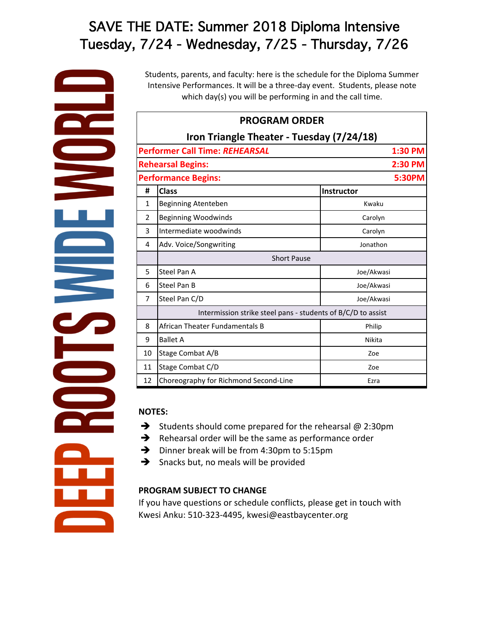# SAVE THE DATE: Summer 2018 Diploma Intensive Tuesday, 7/24 - Wednesday, 7/25 - Thursday, 7/26

Students, parents, and faculty: here is the schedule for the Diploma Summer Intensive Performances. It will be a three-day event. Students, please note which day(s) you will be performing in and the call time.

| <b>PROGRAM ORDER</b>                      |                                                              |            |  |  |
|-------------------------------------------|--------------------------------------------------------------|------------|--|--|
| Iron Triangle Theater - Tuesday (7/24/18) |                                                              |            |  |  |
|                                           | <b>Performer Call Time: REHEARSAL</b>                        | 1:30 PM    |  |  |
|                                           | <b>Rehearsal Begins:</b>                                     | 2:30 PM    |  |  |
| 5:30PM<br><b>Performance Begins:</b>      |                                                              |            |  |  |
| #                                         | <b>Class</b>                                                 | Instructor |  |  |
| $\mathbf{1}$                              | Beginning Atenteben                                          | Kwaku      |  |  |
| $\overline{2}$                            | <b>Beginning Woodwinds</b>                                   | Carolyn    |  |  |
| 3                                         | Intermediate woodwinds                                       | Carolyn    |  |  |
| 4                                         | Adv. Voice/Songwriting                                       | Jonathon   |  |  |
|                                           | <b>Short Pause</b>                                           |            |  |  |
| 5                                         | Steel Pan A                                                  | Joe/Akwasi |  |  |
| 6                                         | Steel Pan B                                                  | Joe/Akwasi |  |  |
| 7                                         | Steel Pan C/D                                                | Joe/Akwasi |  |  |
|                                           | Intermission strike steel pans - students of B/C/D to assist |            |  |  |
| 8                                         | African Theater Fundamentals B                               | Philip     |  |  |
| 9                                         | <b>Ballet A</b>                                              | Nikita     |  |  |
| 10                                        | Stage Combat A/B                                             | Zoe        |  |  |
| 11                                        | Stage Combat C/D                                             | Zoe        |  |  |
| 12                                        | Choreography for Richmond Second-Line                        | Ezra       |  |  |

#### **NOTES:**

- $\rightarrow$  Students should come prepared for the rehearsal @ 2:30pm
- $\rightarrow$  Rehearsal order will be the same as performance order
- $\rightarrow$  Dinner break will be from 4:30pm to 5:15pm
- $\rightarrow$  Snacks but, no meals will be provided

### **PROGRAM SUBJECT TO CHANGE**

If you have questions or schedule conflicts, please get in touch with Kwesi Anku: 510-323-4495, kwesi@eastbaycenter.org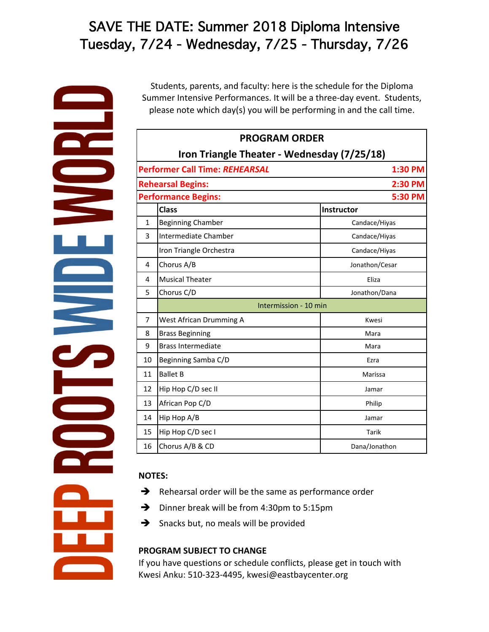# SAVE THE DATE: Summer 2018 Diploma Intensive Tuesday, 7/24 - Wednesday, 7/25 - Thursday, 7/26

Students, parents, and faculty: here is the schedule for the Diploma Summer Intensive Performances. It will be a three-day event. Students, please note which day(s) you will be performing in and the call time.

| <b>PROGRAM ORDER</b>                        |                                       |                |  |  |
|---------------------------------------------|---------------------------------------|----------------|--|--|
| Iron Triangle Theater - Wednesday (7/25/18) |                                       |                |  |  |
|                                             | <b>Performer Call Time: REHEARSAL</b> | 1:30 PM        |  |  |
|                                             | <b>Rehearsal Begins:</b>              | 2:30 PM        |  |  |
| <b>Performance Begins:</b>                  |                                       | 5:30 PM        |  |  |
|                                             | <b>Class</b>                          | Instructor     |  |  |
| $\mathbf{1}$                                | <b>Beginning Chamber</b>              | Candace/Hiyas  |  |  |
| 3                                           | Intermediate Chamber                  | Candace/Hiyas  |  |  |
|                                             | Iron Triangle Orchestra               | Candace/Hiyas  |  |  |
| 4                                           | Chorus A/B                            | Jonathon/Cesar |  |  |
| 4                                           | <b>Musical Theater</b>                | Eliza          |  |  |
| 5                                           | Chorus C/D                            | Jonathon/Dana  |  |  |
|                                             | Intermission - 10 min                 |                |  |  |
| 7                                           | West African Drumming A               | Kwesi          |  |  |
| 8                                           | <b>Brass Beginning</b>                | Mara           |  |  |
| 9                                           | <b>Brass Intermediate</b>             | Mara           |  |  |
| 10                                          | Beginning Samba C/D                   | Ezra           |  |  |
| 11                                          | <b>Ballet B</b>                       | Marissa        |  |  |
| 12                                          | Hip Hop C/D sec II                    | Jamar          |  |  |
| 13                                          | African Pop C/D                       | Philip         |  |  |
| 14                                          | Hip Hop A/B                           | Jamar          |  |  |
| 15                                          | Hip Hop C/D sec I                     | Tarik          |  |  |
| 16                                          | Chorus A/B & CD                       | Dana/Jonathon  |  |  |

### **NOTES:**

- $\rightarrow$  Rehearsal order will be the same as performance order
- $\rightarrow$  Dinner break will be from 4:30pm to 5:15pm
- $\rightarrow$  Snacks but, no meals will be provided

## **PROGRAM SUBJECT TO CHANGE**

If you have questions or schedule conflicts, please get in touch with Kwesi Anku: 510-323-4495, kwesi@eastbaycenter.org